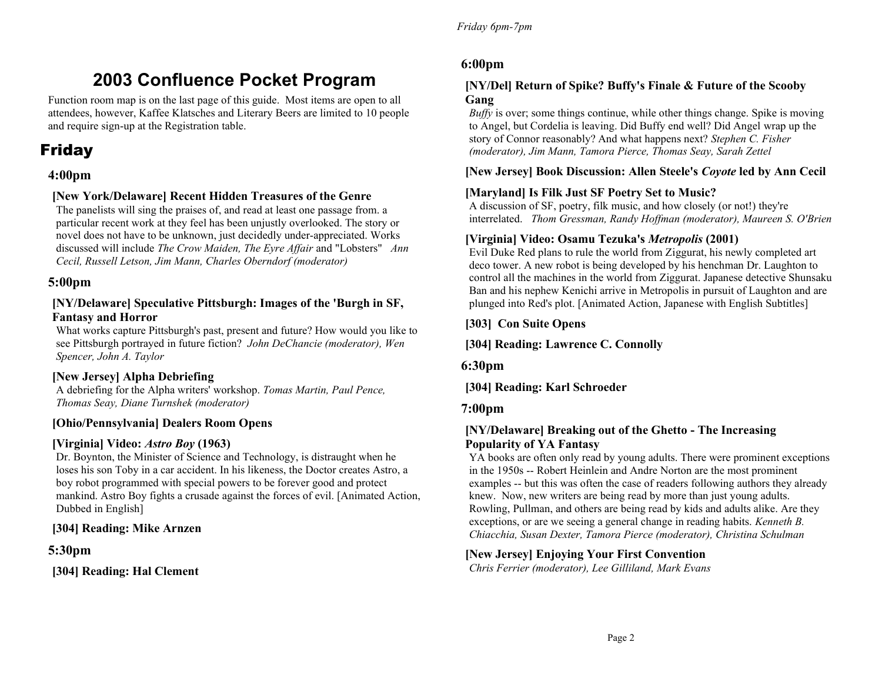# **2003 Confluence Pocket Program**

Function room map is on the last page of this guide. Most items are open to all attendees, however, Kaffee Klatsches and Literary Beers are limited to 10 people and require sign-up at the Registration table.

# Friday

# **4:00pm**

### **[New York/Delaware] Recent Hidden Treasures of the Genre**

The panelists will sing the praises of, and read at least one passage from. a particular recent work at they feel has been unjustly overlooked. The story or novel does not have to be unknown, just decidedly under-appreciated. Works discussed will include *The Crow Maiden, The Eyre Affair* and "Lobsters" *Ann Cecil, Russell Letson, Jim Mann, Charles Oberndorf (moderator)* 

### **5:00pm**

### **[NY/Delaware] Speculative Pittsburgh: Images of the 'Burgh in SF, Fantasy and Horror**

What works capture Pittsburgh's past, present and future? How would you like to see Pittsburgh portrayed in future fiction? *John DeChancie (moderator), Wen Spencer, John A. Taylor* 

### **[New Jersey] Alpha Debriefing**

A debriefing for the Alpha writers' workshop. *Tomas Martin, Paul Pence, Thomas Seay, Diane Turnshek (moderator)*

### **[Ohio/Pennsylvania] Dealers Room Opens**

### **[Virginia] Video:** *Astro Boy* **(1963)**

Dr. Boynton, the Minister of Science and Technology, is distraught when he loses his son Toby in a car accident. In his likeness, the Doctor creates Astro, a boy robot programmed with special powers to be forever good and protect mankind. Astro Boy fights a crusade against the forces of evil. [Animated Action, Dubbed in English]

# **[304] Reading: Mike Arnzen**

# **5:30pm**

**[304] Reading: Hal Clement**

### **6:00pm**

### **[NY/Del] Return of Spike? Buffy's Finale & Future of the Scooby Gang**

*Buffy* is over; some things continue, while other things change. Spike is moving to Angel, but Cordelia is leaving. Did Buffy end well? Did Angel wrap up the story of Connor reasonably? And what happens next? *Stephen C. Fisher (moderator), Jim Mann, Tamora Pierce, Thomas Seay, Sarah Zettel* 

### **[New Jersey] Book Discussion: Allen Steele's** *Coyote* **led by Ann Cecil**

### **[Maryland] Is Filk Just SF Poetry Set to Music?**

A discussion of SF, poetry, filk music, and how closely (or not!) they're interrelated. *Thom Gressman, Randy Hoffman (moderator), Maureen S. O'Brien* 

### **[Virginia] Video: Osamu Tezuka's** *Metropolis* **(2001)**

Evil Duke Red plans to rule the world from Ziggurat, his newly completed art deco tower. A new robot is being developed by his henchman Dr. Laughton to control all the machines in the world from Ziggurat. Japanese detective Shunsaku Ban and his nephew Kenichi arrive in Metropolis in pursuit of Laughton and are plunged into Red's plot. [Animated Action, Japanese with English Subtitles]

**[303] Con Suite Opens**

**[304] Reading: Lawrence C. Connolly**

**6:30pm**

**[304] Reading: Karl Schroeder**

### **7:00pm**

### **[NY/Delaware] Breaking out of the Ghetto - The Increasing Popularity of YA Fantasy**

YA books are often only read by young adults. There were prominent exceptions in the 1950s -- Robert Heinlein and Andre Norton are the most prominent examples -- but this was often the case of readers following authors they already knew. Now, new writers are being read by more than just young adults. Rowling, Pullman, and others are being read by kids and adults alike. Are they exceptions, or are we seeing a general change in reading habits. *Kenneth B. Chiacchia, Susan Dexter, Tamora Pierce (moderator), Christina Schulman* 

### **[New Jersey] Enjoying Your First Convention**

*Chris Ferrier (moderator), Lee Gilliland, Mark Evans*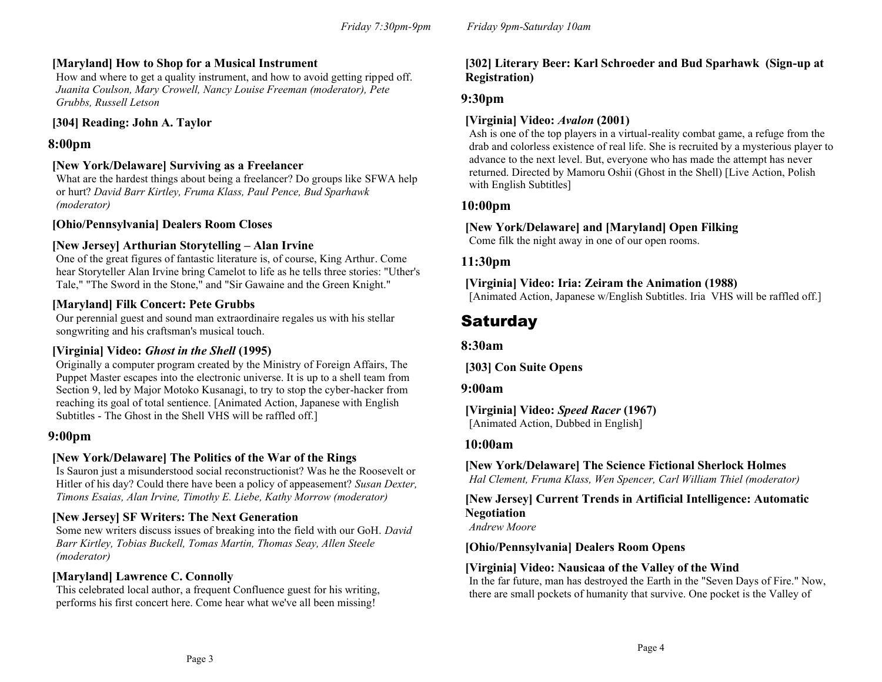### **[Maryland] How to Shop for a Musical Instrument**

How and where to get a quality instrument, and how to avoid getting ripped off. *Juanita Coulson, Mary Crowell, Nancy Louise Freeman (moderator), Pete Grubbs, Russell Letson*

### **[304] Reading: John A. Taylor**

### **8:00pm**

### **[New York/Delaware] Surviving as a Freelancer**

What are the hardest things about being a freelancer? Do groups like SFWA help or hurt? *David Barr Kirtley, Fruma Klass, Paul Pence, Bud Sparhawk (moderator)*

### **[Ohio/Pennsylvania] Dealers Room Closes**

### **[New Jersey] Arthurian Storytelling – Alan Irvine**

One of the great figures of fantastic literature is, of course, King Arthur. Come hear Storyteller Alan Irvine bring Camelot to life as he tells three stories: "Uther's Tale," "The Sword in the Stone," and "Sir Gawaine and the Green Knight."

### **[Maryland] Filk Concert: Pete Grubbs**

Our perennial guest and sound man extraordinaire regales us with his stellar songwriting and his craftsman's musical touch.

### **[Virginia] Video:** *Ghost in the Shell* **(1995)**

Originally a computer program created by the Ministry of Foreign Affairs, The Puppet Master escapes into the electronic universe. It is up to a shell team from Section 9, led by Major Motoko Kusanagi, to try to stop the cyber-hacker from reaching its goal of total sentience. [Animated Action, Japanese with English Subtitles - The Ghost in the Shell VHS will be raffled off.]

### **9:00pm**

### **[New York/Delaware] The Politics of the War of the Rings**

Is Sauron just a misunderstood social reconstructionist? Was he the Roosevelt or Hitler of his day? Could there have been a policy of appeasement? *Susan Dexter, Timons Esaias, Alan Irvine, Timothy E. Liebe, Kathy Morrow (moderator)* 

### **[New Jersey] SF Writers: The Next Generation**

Some new writers discuss issues of breaking into the field with our GoH. *David Barr Kirtley, Tobias Buckell, Tomas Martin, Thomas Seay, Allen Steele (moderator)* 

### **[Maryland] Lawrence C. Connolly**

This celebrated local author, a frequent Confluence guest for his writing, performs his first concert here. Come hear what we've all been missing!

### **[302] Literary Beer: Karl Schroeder and Bud Sparhawk (Sign-up at Registration)**

### **9:30pm**

### **[Virginia] Video:** *Avalon* **(2001)**

Ash is one of the top players in a virtual-reality combat game, a refuge from the drab and colorless existence of real life. She is recruited by a mysterious player to advance to the next level. But, everyone who has made the attempt has never returned. Directed by Mamoru Oshii (Ghost in the Shell) [Live Action, Polish with English Subtitles]

### **10:00pm**

### **[New York/Delaware] and [Maryland] Open Filking**

Come filk the night away in one of our open rooms.

### **11:30pm**

### **[Virginia] Video: Iria: Zeiram the Animation (1988)** [Animated Action, Japanese w/English Subtitles. Iria VHS will be raffled off.]

# **Saturday**

### **8:30am**

**[303] Con Suite Opens**

### **9:00am**

**[Virginia] Video:** *Speed Racer* **(1967)** [Animated Action, Dubbed in English]

### **10:00am**

**[New York/Delaware] The Science Fictional Sherlock Holmes**

*Hal Clement, Fruma Klass, Wen Spencer, Carl William Thiel (moderator)* 

### **[New Jersey] Current Trends in Artificial Intelligence: Automatic Negotiation**

*Andrew Moore*

### **[Ohio/Pennsylvania] Dealers Room Opens**

### **[Virginia] Video: Nausicaa of the Valley of the Wind**

In the far future, man has destroyed the Earth in the "Seven Days of Fire." Now, there are small pockets of humanity that survive. One pocket is the Valley of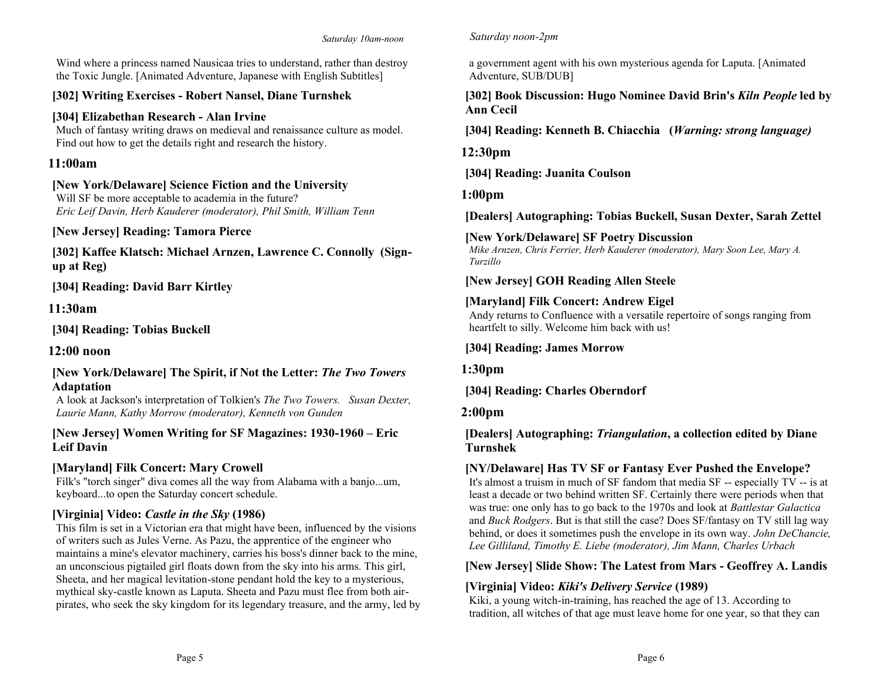Wind where a princess named Nausicaa tries to understand, rather than destroy the Toxic Jungle. [Animated Adventure, Japanese with English Subtitles]

# **[302] Writing Exercises - Robert Nansel, Diane Turnshek**

# **[304] Elizabethan Research - Alan Irvine**

Much of fantasy writing draws on medieval and renaissance culture as model. Find out how to get the details right and research the history.

# **11:00am**

# **[New York/Delaware] Science Fiction and the University**

Will SF be more acceptable to academia in the future? *Eric Leif Davin, Herb Kauderer (moderator), Phil Smith, William Tenn* 

# **[New Jersey] Reading: Tamora Pierce**

**[302] Kaffee Klatsch: Michael Arnzen, Lawrence C. Connolly (Signup at Reg)**

**[304] Reading: David Barr Kirtley**

**11:30am**

**[304] Reading: Tobias Buckell**

**12:00 noon**

### **[New York/Delaware] The Spirit, if Not the Letter:** *The Two Towers* **Adaptation**

A look at Jackson's interpretation of Tolkien's *The Two Towers. Susan Dexter, Laurie Mann, Kathy Morrow (moderator), Kenneth von Gunden*

### **[New Jersey] Women Writing for SF Magazines: 1930-1960 – Eric Leif Davin**

# **[Maryland] Filk Concert: Mary Crowell**

Filk's "torch singer" diva comes all the way from Alabama with a banjo...um, keyboard...to open the Saturday concert schedule.

# **[Virginia] Video:** *Castle in the Sky* **(1986)**

This film is set in a Victorian era that might have been, influenced by the visions of writers such as Jules Verne. As Pazu, the apprentice of the engineer who maintains a mine's elevator machinery, carries his boss's dinner back to the mine, an unconscious pigtailed girl floats down from the sky into his arms. This girl, Sheeta, and her magical levitation-stone pendant hold the key to a mysterious, mythical sky-castle known as Laputa. Sheeta and Pazu must flee from both airpirates, who seek the sky kingdom for its legendary treasure, and the army, led by

### *Saturday noon-2pm*

a government agent with his own mysterious agenda for Laputa. [Animated Adventure, SUB/DUB]

**[302] Book Discussion: Hugo Nominee David Brin's** *Kiln People* **led by Ann Cecil** 

**[304] Reading: Kenneth B. Chiacchia (***Warning: strong language)*

**12:30pm**

**[304] Reading: Juanita Coulson**

**1:00pm**

**[Dealers] Autographing: Tobias Buckell, Susan Dexter, Sarah Zettel**

# **[New York/Delaware] SF Poetry Discussion**

*Mike Arnzen, Chris Ferrier, Herb Kauderer (moderator), Mary Soon Lee, Mary A. Turzillo* 

# **[New Jersey] GOH Reading Allen Steele**

# **[Maryland] Filk Concert: Andrew Eigel**

Andy returns to Confluence with a versatile repertoire of songs ranging from heartfelt to silly. Welcome him back with us!

# **[304] Reading: James Morrow**

**1:30pm**

**[304] Reading: Charles Oberndorf**

# **2:00pm**

### **[Dealers] Autographing:** *Triangulation***, a collection edited by Diane Turnshek**

# **[NY/Delaware] Has TV SF or Fantasy Ever Pushed the Envelope?**

It's almost a truism in much of SF fandom that media SF -- especially  $TV$  -- is at least a decade or two behind written SF. Certainly there were periods when that was true: one only has to go back to the 1970s and look at *Battlestar Galactica* and *Buck Rodgers*. But is that still the case? Does SF/fantasy on TV still lag way behind, or does it sometimes push the envelope in its own way. *John DeChancie, Lee Gilliland, Timothy E. Liebe (moderator), Jim Mann, Charles Urbach*

# **[New Jersey] Slide Show: The Latest from Mars - Geoffrey A. Landis**

# **[Virginia] Video:** *Kiki's Delivery Service* **(1989)**

Kiki, a young witch-in-training, has reached the age of 13. According to tradition, all witches of that age must leave home for one year, so that they can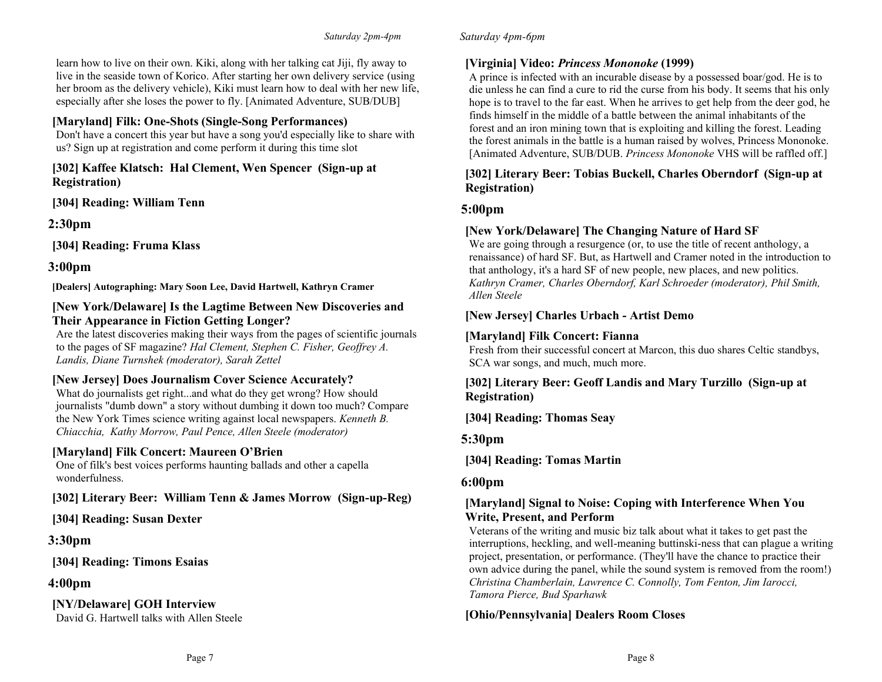learn how to live on their own. Kiki, along with her talking cat Jiji, fly away to live in the seaside town of Korico. After starting her own delivery service (using her broom as the delivery vehicle), Kiki must learn how to deal with her new life, especially after she loses the power to fly. [Animated Adventure, SUB/DUB]

### **[Maryland] Filk: One-Shots (Single-Song Performances)**

Don't have a concert this year but have a song you'd especially like to share with us? Sign up at registration and come perform it during this time slot

**[302] Kaffee Klatsch: Hal Clement, Wen Spencer (Sign-up at Registration)**

**[304] Reading: William Tenn**

**2:30pm**

**[304] Reading: Fruma Klass**

**3:00pm**

**[Dealers] Autographing: Mary Soon Lee, David Hartwell, Kathryn Cramer**

### **[New York/Delaware] Is the Lagtime Between New Discoveries and Their Appearance in Fiction Getting Longer?**

Are the latest discoveries making their ways from the pages of scientific journals to the pages of SF magazine? *Hal Clement, Stephen C. Fisher, Geoffrey A. Landis, Diane Turnshek (moderator), Sarah Zettel*

### **[New Jersey] Does Journalism Cover Science Accurately?**

What do journalists get right...and what do they get wrong? How should journalists "dumb down" a story without dumbing it down too much? Compare the New York Times science writing against local newspapers. *Kenneth B. Chiacchia, Kathy Morrow, Paul Pence, Allen Steele (moderator)* 

### **[Maryland] Filk Concert: Maureen O'Brien**

One of filk's best voices performs haunting ballads and other a capella wonderfulness.

# **[302] Literary Beer: William Tenn & James Morrow (Sign-up-Reg)**

**[304] Reading: Susan Dexter**

**3:30pm**

**[304] Reading: Timons Esaias**

**4:00pm**

# **[NY/Delaware] GOH Interview**

David G. Hartwell talks with Allen Steele

#### *Saturday 4pm-6pm*

### **[Virginia] Video:** *Princess Mononoke* **(1999)**

A prince is infected with an incurable disease by a possessed boar/god. He is to die unless he can find a cure to rid the curse from his body. It seems that his only hope is to travel to the far east. When he arrives to get help from the deer god, he finds himself in the middle of a battle between the animal inhabitants of the forest and an iron mining town that is exploiting and killing the forest. Leading the forest animals in the battle is a human raised by wolves, Princess Mononoke. [Animated Adventure, SUB/DUB. *Princess Mononoke* VHS will be raffled off.]

### **[302] Literary Beer: Tobias Buckell, Charles Oberndorf (Sign-up at Registration)**

# **5:00pm**

# **[New York/Delaware] The Changing Nature of Hard SF**

We are going through a resurgence (or, to use the title of recent anthology, a renaissance) of hard SF. But, as Hartwell and Cramer noted in the introduction to that anthology, it's a hard SF of new people, new places, and new politics. *Kathryn Cramer, Charles Oberndorf, Karl Schroeder (moderator), Phil Smith, Allen Steele*

### **[New Jersey] Charles Urbach - Artist Demo**

# **[Maryland] Filk Concert: Fianna**

Fresh from their successful concert at Marcon, this duo shares Celtic standbys, SCA war songs, and much, much more.

### **[302] Literary Beer: Geoff Landis and Mary Turzillo (Sign-up at Registration)**

**[304] Reading: Thomas Seay**

**5:30pm**

**[304] Reading: Tomas Martin**

# **6:00pm**

### **[Maryland] Signal to Noise: Coping with Interference When You Write, Present, and Perform**

Veterans of the writing and music biz talk about what it takes to get past the interruptions, heckling, and well-meaning buttinski-ness that can plague a writing project, presentation, or performance. (They'll have the chance to practice their own advice during the panel, while the sound system is removed from the room!) *Christina Chamberlain, Lawrence C. Connolly, Tom Fenton, Jim Iarocci, Tamora Pierce, Bud Sparhawk* 

# **[Ohio/Pennsylvania] Dealers Room Closes**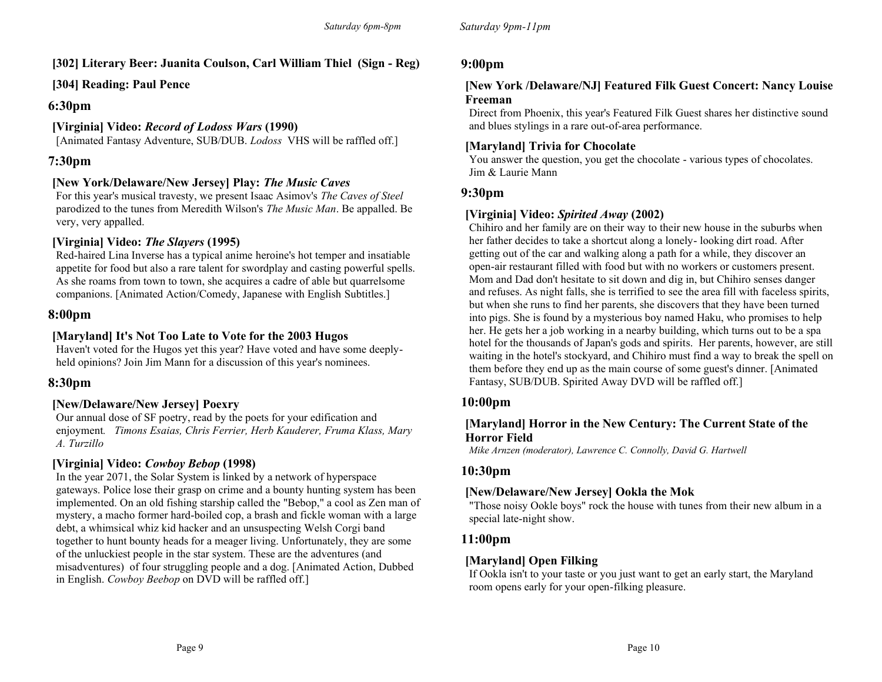# **[302] Literary Beer: Juanita Coulson, Carl William Thiel (Sign - Reg)**

# **[304] Reading: Paul Pence**

### **6:30pm**

# **[Virginia] Video:** *Record of Lodoss Wars* **(1990)**

[Animated Fantasy Adventure, SUB/DUB. *Lodoss* VHS will be raffled off.]

# **7:30pm**

# **[New York/Delaware/New Jersey] Play:** *The Music Caves*

For this year's musical travesty, we present Isaac Asimov's *The Caves of Steel* parodized to the tunes from Meredith Wilson's *The Music Man*. Be appalled. Be very, very appalled.

# **[Virginia] Video:** *The Slayers* **(1995)**

Red-haired Lina Inverse has a typical anime heroine's hot temper and insatiable appetite for food but also a rare talent for swordplay and casting powerful spells. As she roams from town to town, she acquires a cadre of able but quarrelsome companions. [Animated Action/Comedy, Japanese with English Subtitles.]

# **8:00pm**

# **[Maryland] It's Not Too Late to Vote for the 2003 Hugos**

Haven't voted for the Hugos yet this year? Have voted and have some deeplyheld opinions? Join Jim Mann for a discussion of this year's nominees.

# **8:30pm**

# **[New/Delaware/New Jersey] Poexry**

Our annual dose of SF poetry, read by the poets for your edification and enjoyment*. Timons Esaias, Chris Ferrier, Herb Kauderer, Fruma Klass, Mary A. Turzillo* 

# **[Virginia] Video:** *Cowboy Bebop* **(1998)**

In the year 2071, the Solar System is linked by a network of hyperspace gateways. Police lose their grasp on crime and a bounty hunting system has been implemented. On an old fishing starship called the "Bebop," a cool as Zen man of mystery, a macho former hard-boiled cop, a brash and fickle woman with a large debt, a whimsical whiz kid hacker and an unsuspecting Welsh Corgi band together to hunt bounty heads for a meager living. Unfortunately, they are some of the unluckiest people in the star system. These are the adventures (and misadventures) of four struggling people and a dog. [Animated Action, Dubbed in English. *Cowboy Beebop* on DVD will be raffled off.]

### **9:00pm**

### **[New York /Delaware/NJ] Featured Filk Guest Concert: Nancy Louise Freeman**

Direct from Phoenix, this year's Featured Filk Guest shares her distinctive sound and blues stylings in a rare out-of-area performance.

### **[Maryland] Trivia for Chocolate**

You answer the question, you get the chocolate - various types of chocolates. Jim & Laurie Mann

### **9:30pm**

# **[Virginia] Video:** *Spirited Away* **(2002)**

Chihiro and her family are on their way to their new house in the suburbs when her father decides to take a shortcut along a lonely- looking dirt road. After getting out of the car and walking along a path for a while, they discover an open-air restaurant filled with food but with no workers or customers present. Mom and Dad don't hesitate to sit down and dig in, but Chihiro senses danger and refuses. As night falls, she is terrified to see the area fill with faceless spirits, but when she runs to find her parents, she discovers that they have been turned into pigs. She is found by a mysterious boy named Haku, who promises to help her. He gets her a job working in a nearby building, which turns out to be a spa hotel for the thousands of Japan's gods and spirits. Her parents, however, are still waiting in the hotel's stockyard, and Chihiro must find a way to break the spell on them before they end up as the main course of some guest's dinner. [Animated Fantasy, SUB/DUB. Spirited Away DVD will be raffled off.]

# **10:00pm**

### **[Maryland] Horror in the New Century: The Current State of the Horror Field**

*Mike Arnzen (moderator), Lawrence C. Connolly, David G. Hartwell* 

# **10:30pm**

### **[New/Delaware/New Jersey] Ookla the Mok**

"Those noisy Ookle boys" rock the house with tunes from their new album in a special late-night show.

# **11:00pm**

# **[Maryland] Open Filking**

If Ookla isn't to your taste or you just want to get an early start, the Maryland room opens early for your open-filking pleasure.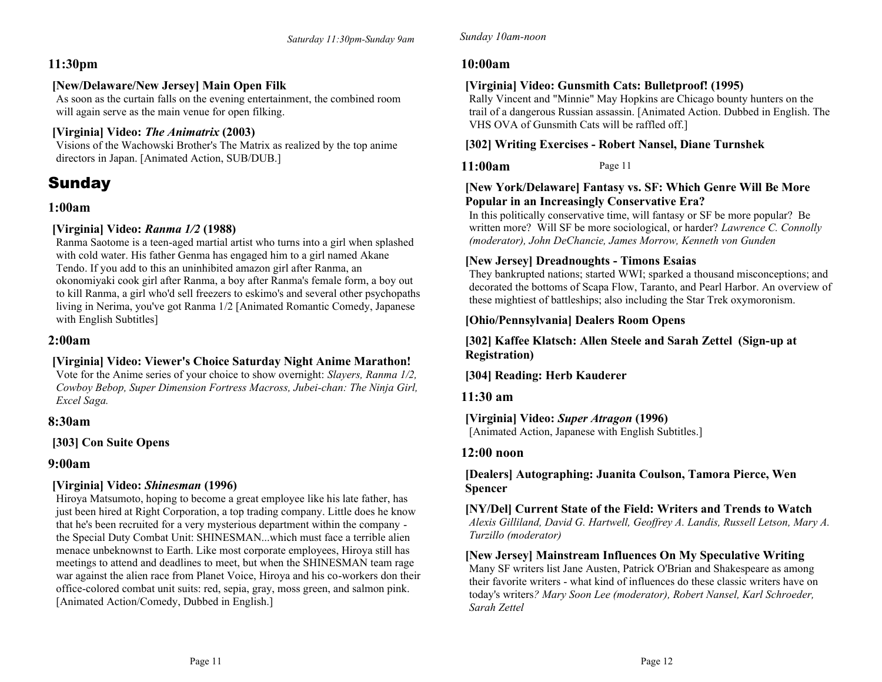# **11:30pm**

# **[New/Delaware/New Jersey] Main Open Filk**

As soon as the curtain falls on the evening entertainment, the combined room will again serve as the main venue for open filking.

# **[Virginia] Video:** *The Animatrix* **(2003)**

Visions of the Wachowski Brother's The Matrix as realized by the top anime directors in Japan. [Animated Action, SUB/DUB.]

# Sunday

# **1:00am**

# **[Virginia] Video:** *Ranma 1/2* **(1988)**

Ranma Saotome is a teen-aged martial artist who turns into a girl when splashed with cold water. His father Genma has engaged him to a girl named Akane Tendo. If you add to this an uninhibited amazon girl after Ranma, an okonomiyaki cook girl after Ranma, a boy after Ranma's female form, a boy out to kill Ranma, a girl who'd sell freezers to eskimo's and several other psychopaths living in Nerima, you've got Ranma 1/2 [Animated Romantic Comedy, Japanese with English Subtitles]

# **2:00am**

# **[Virginia] Video: Viewer's Choice Saturday Night Anime Marathon!**

Vote for the Anime series of your choice to show overnight: *Slayers, Ranma 1/2, Cowboy Bebop, Super Dimension Fortress Macross, Jubei-chan: The Ninja Girl, Excel Saga.* 

# **8:30am**

# **[303] Con Suite Opens**

# **9:00am**

# **[Virginia] Video:** *Shinesman* **(1996)**

Hiroya Matsumoto, hoping to become a great employee like his late father, has just been hired at Right Corporation, a top trading company. Little does he know that he's been recruited for a very mysterious department within the company the Special Duty Combat Unit: SHINESMAN...which must face a terrible alien menace unbeknownst to Earth. Like most corporate employees, Hiroya still has meetings to attend and deadlines to meet, but when the SHINESMAN team rage war against the alien race from Planet Voice, Hiroya and his co-workers don their office-colored combat unit suits: red, sepia, gray, moss green, and salmon pink. [Animated Action/Comedy, Dubbed in English.]

# **10:00am**

**11:00am** 

# **[Virginia] Video: Gunsmith Cats: Bulletproof! (1995)**

Rally Vincent and "Minnie" May Hopkins are Chicago bounty hunters on the trail of a dangerous Russian assassin. [Animated Action. Dubbed in English. The VHS OVA of Gunsmith Cats will be raffled off.]

# **[302] Writing Exercises - Robert Nansel, Diane Turnshek**

Page 11

# **[New York/Delaware] Fantasy vs. SF: Which Genre Will Be More Popular in an Increasingly Conservative Era?**

In this politically conservative time, will fantasy or SF be more popular? Be written more? Will SF be more sociological, or harder? *Lawrence C. Connolly (moderator), John DeChancie, James Morrow, Kenneth von Gunden*

# **[New Jersey] Dreadnoughts - Timons Esaias**

They bankrupted nations; started WWI; sparked a thousand misconceptions; and decorated the bottoms of Scapa Flow, Taranto, and Pearl Harbor. An overview of these mightiest of battleships; also including the Star Trek oxymoronism.

# **[Ohio/Pennsylvania] Dealers Room Opens**

### **[302] Kaffee Klatsch: Allen Steele and Sarah Zettel (Sign-up at Registration)**

**[304] Reading: Herb Kauderer**

# **11:30 am**

# **[Virginia] Video:** *Super Atragon* **(1996)**

[Animated Action, Japanese with English Subtitles.]

# **12:00 noon**

### **[Dealers] Autographing: Juanita Coulson, Tamora Pierce, Wen Spencer**

**[NY/Del] Current State of the Field: Writers and Trends to Watch** *Alexis Gilliland, David G. Hartwell, Geoffrey A. Landis, Russell Letson, Mary A. Turzillo (moderator)* 

# **[New Jersey] Mainstream Influences On My Speculative Writing**

Many SF writers list Jane Austen, Patrick O'Brian and Shakespeare as among their favorite writers - what kind of influences do these classic writers have on today's writers*? Mary Soon Lee (moderator), Robert Nansel, Karl Schroeder, Sarah Zettel*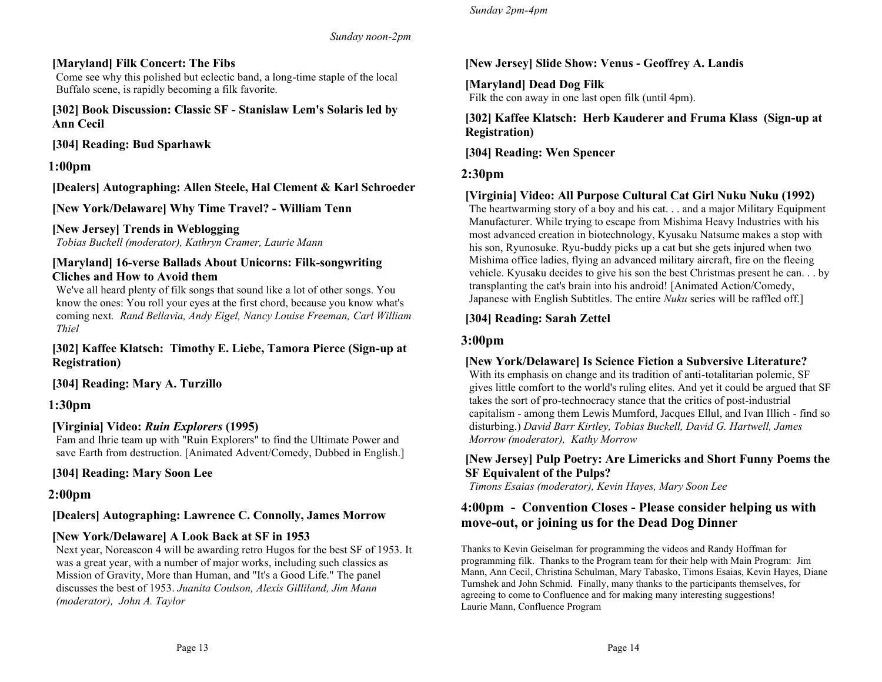*Sunday noon-2pm*

# **[Maryland] Filk Concert: The Fibs**

Come see why this polished but eclectic band, a long-time staple of the local Buffalo scene, is rapidly becoming a filk favorite.

**[302] Book Discussion: Classic SF - Stanislaw Lem's Solaris led by Ann Cecil** 

**[304] Reading: Bud Sparhawk**

# **1:00pm**

**[Dealers] Autographing: Allen Steele, Hal Clement & Karl Schroeder**

**[New York/Delaware] Why Time Travel? - William Tenn** 

### **[New Jersey] Trends in Weblogging**

*Tobias Buckell (moderator), Kathryn Cramer, Laurie Mann* 

### **[Maryland] 16-verse Ballads About Unicorns: Filk-songwriting Cliches and How to Avoid them**

We've all heard plenty of filk songs that sound like a lot of other songs. You know the ones: You roll your eyes at the first chord, because you know what's coming next*. Rand Bellavia, Andy Eigel, Nancy Louise Freeman, Carl William Thiel* 

### **[302] Kaffee Klatsch: Timothy E. Liebe, Tamora Pierce (Sign-up at Registration)**

**[304] Reading: Mary A. Turzillo**

# **1:30pm**

# **[Virginia] Video:** *Ruin Explorers* **(1995)**

Fam and Ihrie team up with "Ruin Explorers" to find the Ultimate Power and save Earth from destruction. [Animated Advent/Comedy, Dubbed in English.]

**[304] Reading: Mary Soon Lee**

# **2:00pm**

# **[Dealers] Autographing: Lawrence C. Connolly, James Morrow**

### **[New York/Delaware] A Look Back at SF in 1953**

Next year, Noreascon 4 will be awarding retro Hugos for the best SF of 1953. It was a great year, with a number of major works, including such classics as Mission of Gravity, More than Human, and "It's a Good Life." The panel discusses the best of 1953. *Juanita Coulson, Alexis Gilliland, Jim Mann (moderator), John A. Taylor* 

### **[New Jersey] Slide Show: Venus - Geoffrey A. Landis**

**[Maryland] Dead Dog Filk** Filk the con away in one last open filk (until 4pm).

### **[302] Kaffee Klatsch: Herb Kauderer and Fruma Klass (Sign-up at Registration)**

**[304] Reading: Wen Spencer**

# **2:30pm**

### **[Virginia] Video: All Purpose Cultural Cat Girl Nuku Nuku (1992)**

The heartwarming story of a boy and his cat. . . and a major Military Equipment Manufacturer. While trying to escape from Mishima Heavy Industries with his most advanced creation in biotechnology, Kyusaku Natsume makes a stop with his son, Ryunosuke. Ryu-buddy picks up a cat but she gets injured when two Mishima office ladies, flying an advanced military aircraft, fire on the fleeing vehicle. Kyusaku decides to give his son the best Christmas present he can. . . by transplanting the cat's brain into his android! [Animated Action/Comedy, Japanese with English Subtitles. The entire *Nuku* series will be raffled off.]

### **[304] Reading: Sarah Zettel**

# **3:00pm**

### **[New York/Delaware] Is Science Fiction a Subversive Literature?**

With its emphasis on change and its tradition of anti-totalitarian polemic, SF gives little comfort to the world's ruling elites. And yet it could be argued that SF takes the sort of pro-technocracy stance that the critics of post-industrial capitalism - among them Lewis Mumford, Jacques Ellul, and Ivan Illich - find so disturbing.) *David Barr Kirtley, Tobias Buckell, David G. Hartwell, James Morrow (moderator), Kathy Morrow*

### **[New Jersey] Pulp Poetry: Are Limericks and Short Funny Poems the SF Equivalent of the Pulps?**

*Timons Esaias (moderator), Kevin Hayes, Mary Soon Lee*

# **4:00pm - Convention Closes - Please consider helping us with move-out, or joining us for the Dead Dog Dinner**

Thanks to Kevin Geiselman for programming the videos and Randy Hoffman for programming filk. Thanks to the Program team for their help with Main Program: Jim Mann, Ann Cecil, Christina Schulman, Mary Tabasko, Timons Esaias, Kevin Hayes, Diane Turnshek and John Schmid. Finally, many thanks to the participants themselves, for agreeing to come to Confluence and for making many interesting suggestions! Laurie Mann, Confluence Program